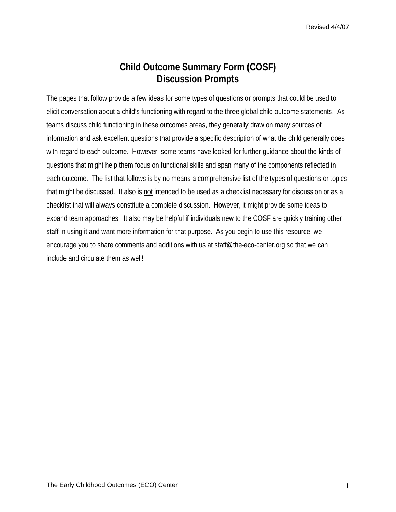## **Child Outcome Summary Form (COSF) Discussion Prompts**

The pages that follow provide a few ideas for some types of questions or prompts that could be used to elicit conversation about a child's functioning with regard to the three global child outcome statements. As teams discuss child functioning in these outcomes areas, they generally draw on many sources of information and ask excellent questions that provide a specific description of what the child generally does with regard to each outcome. However, some teams have looked for further guidance about the kinds of questions that might help them focus on functional skills and span many of the components reflected in each outcome. The list that follows is by no means a comprehensive list of the types of questions or topics that might be discussed. It also is not intended to be used as a checklist necessary for discussion or as a checklist that will always constitute a complete discussion. However, it might provide some ideas to expand team approaches. It also may be helpful if individuals new to the COSF are quickly training other staff in using it and want more information for that purpose. As you begin to use this resource, we encourage you to share comments and additions with us at staff@the-eco-center.org so that we can include and circulate them as well!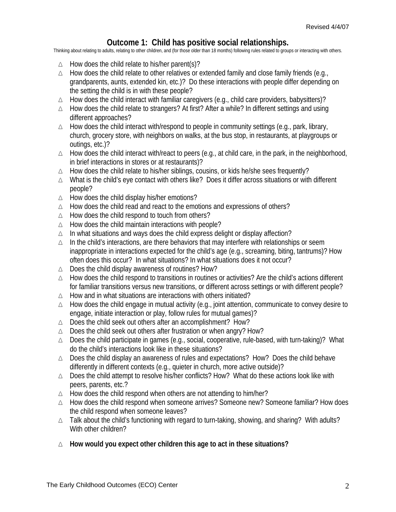## **Outcome 1: Child has positive social relationships.**

Thinking about relating to adults, relating to other children, and (for those older than 18 months) following rules related to groups or interacting with others.

- ∆ How does the child relate to his/her parent(s)?
- ∆ How does the child relate to other relatives or extended family and close family friends (e.g., grandparents, aunts, extended kin, etc.)? Do these interactions with people differ depending on the setting the child is in with these people?
- ∆ How does the child interact with familiar caregivers (e.g., child care providers, babysitters)?
- ∆ How does the child relate to strangers? At first? After a while? In different settings and using different approaches?
- ∆ How does the child interact with/respond to people in community settings (e.g., park, library, church, grocery store, with neighbors on walks, at the bus stop, in restaurants, at playgroups or outings, etc.)?
- ∆ How does the child interact with/react to peers (e.g., at child care, in the park, in the neighborhood, in brief interactions in stores or at restaurants)?
- ∆ How does the child relate to his/her siblings, cousins, or kids he/she sees frequently?
- ∆ What is the child's eye contact with others like? Does it differ across situations or with different people?
- ∆ How does the child display his/her emotions?
- ∆ How does the child read and react to the emotions and expressions of others?
- ∆ How does the child respond to touch from others?
- ∆ How does the child maintain interactions with people?
- ∆ In what situations and ways does the child express delight or display affection?
- ∆ In the child's interactions, are there behaviors that may interfere with relationships or seem inappropriate in interactions expected for the child's age (e.g., screaming, biting, tantrums)? How often does this occur? In what situations? In what situations does it not occur?
- ∆ Does the child display awareness of routines? How?
- ∆ How does the child respond to transitions in routines or activities? Are the child's actions different for familiar transitions versus new transitions, or different across settings or with different people?
- ∆ How and in what situations are interactions with others initiated?
- ∆ How does the child engage in mutual activity (e.g., joint attention, communicate to convey desire to engage, initiate interaction or play, follow rules for mutual games)?
- ∆ Does the child seek out others after an accomplishment? How?
- ∆ Does the child seek out others after frustration or when angry? How?
- ∆ Does the child participate in games (e.g., social, cooperative, rule-based, with turn-taking)? What do the child's interactions look like in these situations?
- ∆ Does the child display an awareness of rules and expectations? How? Does the child behave differently in different contexts (e.g., quieter in church, more active outside)?
- ∆ Does the child attempt to resolve his/her conflicts? How? What do these actions look like with peers, parents, etc.?
- ∆ How does the child respond when others are not attending to him/her?
- ∆ How does the child respond when someone arrives? Someone new? Someone familiar? How does the child respond when someone leaves?
- ∆ Talk about the child's functioning with regard to turn-taking, showing, and sharing? With adults? With other children?
- ∆ **How would you expect other children this age to act in these situations?**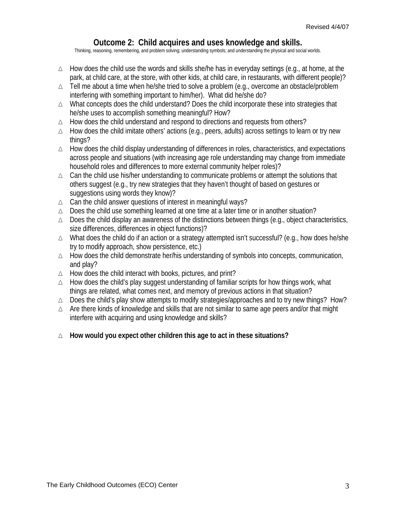## **Outcome 2: Child acquires and uses knowledge and skills.**

Thinking, reasoning, remembering, and problem solving; understanding symbols; and understanding the physical and social worlds.

- ∆ How does the child use the words and skills she/he has in everyday settings (e.g., at home, at the park, at child care, at the store, with other kids, at child care, in restaurants, with different people)?
- ∆ Tell me about a time when he/she tried to solve a problem (e.g., overcome an obstacle/problem interfering with something important to him/her). What did he/she do?
- ∆ What concepts does the child understand? Does the child incorporate these into strategies that he/she uses to accomplish something meaningful? How?
- ∆ How does the child understand and respond to directions and requests from others?
- ∆ How does the child imitate others' actions (e.g., peers, adults) across settings to learn or try new things?
- ∆ How does the child display understanding of differences in roles, characteristics, and expectations across people and situations (with increasing age role understanding may change from immediate household roles and differences to more external community helper roles)?
- ∆ Can the child use his/her understanding to communicate problems or attempt the solutions that others suggest (e.g., try new strategies that they haven't thought of based on gestures or suggestions using words they know)?
- ∆ Can the child answer questions of interest in meaningful ways?
- ∆ Does the child use something learned at one time at a later time or in another situation?
- ∆ Does the child display an awareness of the distinctions between things (e.g., object characteristics, size differences, differences in object functions)?
- ∆ What does the child do if an action or a strategy attempted isn't successful? (e.g., how does he/she try to modify approach, show persistence, etc.)
- ∆ How does the child demonstrate her/his understanding of symbols into concepts, communication, and play?
- ∆ How does the child interact with books, pictures, and print?
- ∆ How does the child's play suggest understanding of familiar scripts for how things work, what things are related, what comes next, and memory of previous actions in that situation?
- ∆ Does the child's play show attempts to modify strategies/approaches and to try new things? How?
- ∆ Are there kinds of knowledge and skills that are not similar to same age peers and/or that might interfere with acquiring and using knowledge and skills?
- ∆ **How would you expect other children this age to act in these situations?**